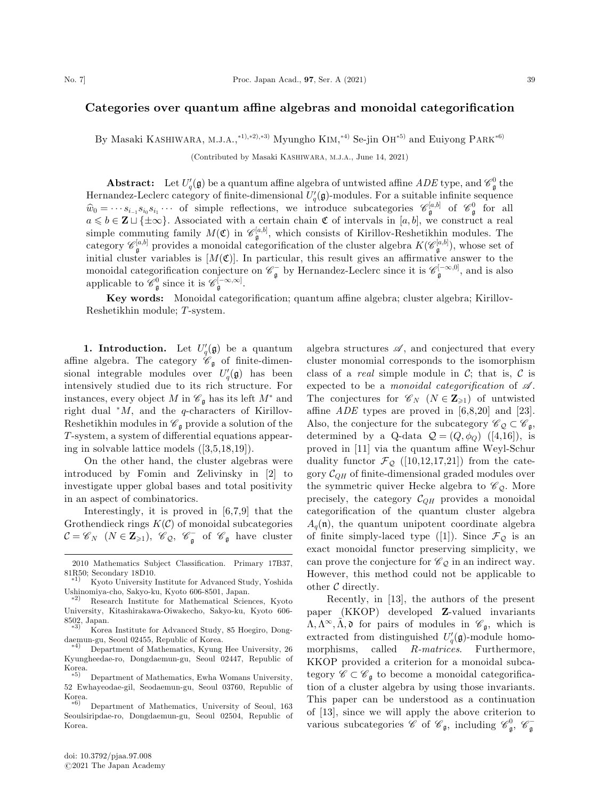## Categories over quantum affine algebras and monoidal categorification

By Masaki KASHIWARA, M.J.A.,\*<sup>1),\*2),\*3)</sup> Myungho KIM,\*<sup>4)</sup> Se-jin OH<sup>\*5)</sup> and Euiyong PARK<sup>\*6)</sup>

(Contributed by Masaki KASHIWARA, M.J.A., June 14, 2021)

**Abstract:** Let  $U_q'(\mathfrak{g})$  be a quantum affine algebra of untwisted affine ADE type, and  $\mathscr{C}_{\mathfrak{g}}^0$  the Hernandez-Leclerc category of finite-dimensional  $U_q'(\mathfrak{g})$ -modules. For a suitable infinite sequence  $\hat{w}_0 = \cdots s_{i-1} s_{i_0} s_{i_1} \cdots$  of simple reflections, we introduce subcategories  $\mathscr{C}_{\mathfrak{g}}^{[a,b]}$  of  $\mathscr{C}_{\mathfrak{g}}^0$  for all  $a \leq b \in \mathbf{Z} \sqcup \{\pm \infty\}.$  Associated with a certain chain  $\mathfrak C$  of intervals in  $[a, b]$ , we construct a real simple commuting family  $M(\mathfrak{C})$  in  $\mathscr{C}_{\mathfrak{g}}^{[a,b]}$ , which consists of Kirillov-Reshetikhin modules. The category  $\mathscr{C}_{\mathfrak{g}}^{[a,b]}$  provides a monoidal categorification of the cluster algebra  $K(\mathscr{C}_{\mathfrak{g}}^{[a,b]})$ , whose set of initial cluster variables is  $[M(\mathfrak{C})]$ . In particular, this result gives an affirmative answer to the monoidal categorification conjecture on  $\mathscr{C}_{\mathfrak{g}}^-$  by Hernandez-Leclerc since it is  $\mathscr{C}_{\mathfrak{g}}^{[-\infty,0]}$ , and is also applicable to  $\mathscr{C}_{\mathfrak{g}}^0$  since it is  $\mathscr{C}_{\mathfrak{g}}^{[-\infty,\infty]}$ .

Key words: Monoidal categorification; quantum affine algebra; cluster algebra; Kirillov-Reshetikhin module; T-system.

**1. Introduction.** Let  $U_q'(\mathfrak{g})$  be a quantum affine algebra. The category  $\mathscr{C}_{\mathfrak{g}}$  of finite-dimensional integrable modules over  $U_q'(\mathfrak{g})$  has been intensively studied due to its rich structure. For instances, every object M in  $\mathscr{C}_{\mathfrak{g}}$  has its left  $M^*$  and right dual  $^*M$ , and the *q*-characters of Kirillov-Reshetikhin modules in  $\mathcal{C}_{\mathfrak{g}}$  provide a solution of the T-system, a system of differential equations appearing in solvable lattice models ([3,5,18,19]).

On the other hand, the cluster algebras were introduced by Fomin and Zelivinsky in [2] to investigate upper global bases and total positivity in an aspect of combinatorics.

Interestingly, it is proved in [6,7,9] that the Grothendieck rings  $K(\mathcal{C})$  of monoidal subcategories  $\mathcal{C} = \mathscr{C}_N \; (N \in \mathbf{Z}_{\geqslant 1}), \; \mathscr{C}_{\mathcal{Q}}, \; \mathscr{C}_{\mathfrak{g}}^-$  of  $\mathscr{C}_{\mathfrak{g}}$  have cluster

algebra structures  $\mathscr{A}$ , and conjectured that every cluster monomial corresponds to the isomorphism class of a *real* simple module in  $C$ ; that is,  $C$  is expected to be a monoidal categorification of  $\mathcal{A}$ . The conjectures for  $\mathscr{C}_N$   $(N \in \mathbb{Z}_{\geq 1})$  of untwisted affine  $ADE$  types are proved in  $[6,8,20]$  and  $[23]$ . Also, the conjecture for the subcategory  $\mathscr{C}_{\mathcal{Q}} \subset \mathscr{C}_{\mathfrak{g}}$ , determined by a Q-data  $Q = (Q, \phi_Q)$  ([4,16]), is proved in [11] via the quantum affine Weyl-Schur duality functor  $\mathcal{F}_{\mathcal{Q}}$  ([10,12,17,21]) from the category  $\mathcal{C}_{QH}$  of finite-dimensional graded modules over the symmetric quiver Hecke algebra to  $\mathscr{C}_{\mathcal{Q}}$ . More precisely, the category  $C_{QH}$  provides a monoidal categorification of the quantum cluster algebra  $A_q(\mathfrak{n})$ , the quantum unipotent coordinate algebra of finite simply-laced type ([1]). Since  $\mathcal{F}_{\mathcal{Q}}$  is an exact monoidal functor preserving simplicity, we can prove the conjecture for  $\mathscr{C}_{\mathcal{Q}}$  in an indirect way. However, this method could not be applicable to other C directly.

Recently, in [13], the authors of the present paper (KKOP) developed Z-valued invariants  $\Lambda, \Lambda^{\infty}, \tilde{\Lambda}, \mathfrak{d}$  for pairs of modules in  $\mathscr{C}_{\mathfrak{g}},$  which is extracted from distinguished  $U_q'(\mathfrak{g})$ -module homomorphisms, called R-matrices. Furthermore, KKOP provided a criterion for a monoidal subcategory  $\mathscr{C} \subset \mathscr{C}_{\mathfrak{g}}$  to become a monoidal categorification of a cluster algebra by using those invariants. This paper can be understood as a continuation of [13], since we will apply the above criterion to various subcategories  $\mathscr{C}$  of  $\mathscr{C}_{\mathfrak{g}}$ , including  $\mathscr{C}_{\mathfrak{g}}^0$ ,  $\mathscr{C}_{\mathfrak{g}}^-$ 

<sup>2010</sup> Mathematics Subject Classification. Primary 17B37, 81R50; Secondary 18D10.<br><sup>\*1)</sup> Kyoto University Institute for Advanced Study, Yoshida

Ushinomiya-cho, Sakyo-ku, Kyoto 606-8501, Japan. -

 $*2)$  Research Institute for Mathematical Sciences, Kyoto University, Kitashirakawa-Oiwakecho, Sakyo-ku, Kyoto 606- 8502, Japan.

Korea Institute for Advanced Study, 85 Hoegiro, Dongdaemun-gu, Seoul 02455, Republic of Korea. -

<sup>4</sup><sup>Þ</sup> Department of Mathematics, Kyung Hee University, 26 Kyungheedae-ro, Dongdaemun-gu, Seoul 02447, Republic of  $K$ orea.

Department of Mathematics, Ewha Womans University, 52 Ewhayeodae-gil, Seodaemun-gu, Seoul 03760, Republic of Korea.<br><sup>\*6)</sup> Department of Mathematics, University of Seoul, 163

Seoulsiripdae-ro, Dongdaemun-gu, Seoul 02504, Republic of Korea.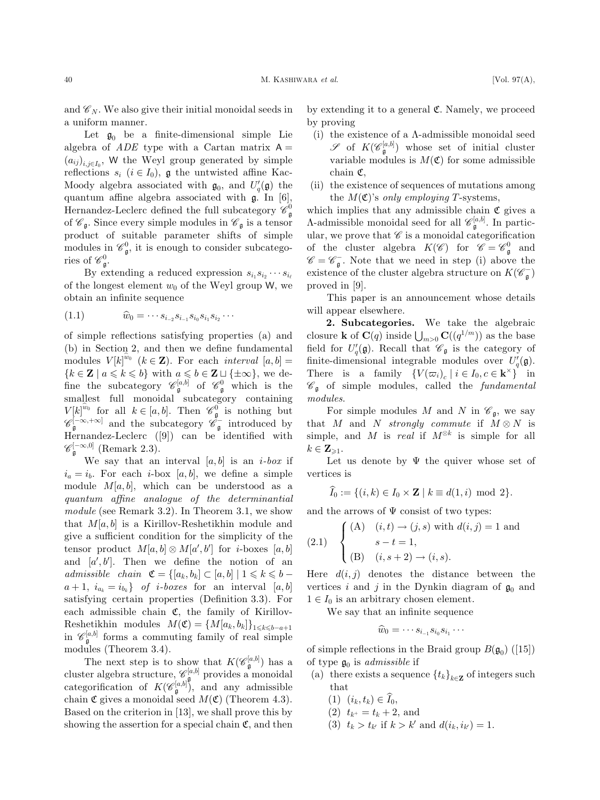and  $\mathscr{C}_N$ . We also give their initial monoidal seeds in a uniform manner.

Let  $\mathfrak{g}_0$  be a finite-dimensional simple Lie algebra of  $ADE$  type with a Cartan matrix  $A =$  $(a_{ij})_{i,j\in I_0}$ , W the Weyl group generated by simple reflections  $s_i$   $(i \in I_0)$ ,  $\mathfrak g$  the untwisted affine Kac-Moody algebra associated with  $\mathfrak{g}_0$ , and  $U_q'(\mathfrak{g})$  the quantum affine algebra associated with g. In [6], Hernandez-Leclerc defined the full subcategory  $\mathscr{C}^0_{\mathfrak{g}}$ of  $\mathscr{C}_{\mathfrak{g}}$ . Since every simple modules in  $\mathscr{C}_{\mathfrak{g}}$  is a tensor product of suitable parameter shifts of simple modules in  $\mathcal{C}_{\mathfrak{g}}^0$ , it is enough to consider subcategories of  $\mathscr{C}^0_{\mathfrak{g}}$ .

By extending a reduced expression  $s_{i_1} s_{i_2} \cdots s_{i_\ell}$ of the longest element  $w_0$  of the Weyl group W, we obtain an infinite sequence

$$
(1.1) \t\t \hat{w}_0 = \cdots s_{i-2} s_{i-1} s_{i_0} s_{i_1} s_{i_2} \cdots
$$

of simple reflections satisfying properties (a) and (b) in Section 2, and then we define fundamental modules  $V[k]^{w_0}$   $(k \in \mathbf{Z})$ . For each *interval*  $[a, b] =$  ${k \in \mathbf{Z} \mid a \leq k \leq b}$  with  $a \leq b \in \mathbf{Z} \sqcup \{\pm \infty\}$ , we define the subcategory  $\mathscr{C}_{\mathfrak{g}}^{[a,b]}$  of  $\mathscr{C}_{\mathfrak{g}}^0$  which is the smallest full monoidal subcategory containing  $V[k]^{w_0}$  for all  $k \in [a, b]$ . Then  $\mathscr{C}_{\mathfrak{g}}^0$  is nothing but  $\mathscr{C}_{\mathfrak{g}}^{[-\infty,+\infty]}$  and the subcategory  $\mathscr{C}_{\mathfrak{g}}^{-}$  introduced by Hernandez-Leclerc ([9]) can be identified with  $\mathscr{C}_{\mathfrak{g}}^{[-\infty,0]}$  (Remark 2.3).

We say that an interval  $[a, b]$  is an *i-box* if  $i_a = i_b$ . For each *i*-box [a, b], we define a simple module  $M[a, b]$ , which can be understood as a quantum affine analogue of the determinantial module (see Remark 3.2). In Theorem 3.1, we show that  $M[a, b]$  is a Kirillov-Reshetikhin module and give a sufficient condition for the simplicity of the tensor product  $M[a, b] \otimes M[a', b']$  for *i*-boxes  $[a, b]$ and  $[a', b']$ . Then we define the notion of an admissible chain  $\mathfrak{C} = \{ [a_k, b_k] \subset [a, b] \mid 1 \leq k \leq b - \}$  $a+1, i_{a_k} = i_{b_k}$  of i-boxes for an interval [a, b] satisfying certain properties (Definition 3.3). For each admissible chain  $\mathfrak{C}$ , the family of Kirillov-Reshetikhin modules  $M(\mathfrak{C}) = \{M[a_k, b_k]\}_{1 \leq k \leq b-a+1}$ in  $\mathscr{C}_{\mathfrak{g}}^{[a,b]}$  forms a commuting family of real simple modules (Theorem 3.4).

The next step is to show that  $K(\mathscr{C}_{\mathfrak{g}}^{[a,b]})$  has a cluster algebra structure,  $\mathscr{C}_{\mathbf{a},\mathbf{\mathfrak{g}}}^{[a,b]}$  provides a monoidal categorification of  $K(\mathscr{C}_{\mathfrak{g}}^{[a,b]})$ , and any admissible chain  $\mathfrak C$  gives a monoidal seed  $M(\mathfrak C)$  (Theorem 4.3). Based on the criterion in [13], we shall prove this by showing the assertion for a special chain  $\mathfrak{C}$ , and then by extending it to a general C. Namely, we proceed by proving

- (i) the existence of a  $\Lambda$ -admissible monoidal seed  $\mathscr S$  of  $K(\mathscr C^{[a,b]}_{\mathfrak g})$  whose set of initial cluster variable modules is  $M(\mathfrak{C})$  for some admissible chain C,
- (ii) the existence of sequences of mutations among the  $M(\mathfrak{C})$ 's only employing T-systems,

which implies that any admissible chain  $\mathfrak C$  gives a  $\Lambda$ -admissible monoidal seed for all  $\mathscr{C}_{\mathfrak{g}}^{[a,b]}$ . In particular, we prove that  $\mathscr C$  is a monoidal categorification of the cluster algebra  $K(\mathscr{C})$  for  $\mathscr{C} = \mathscr{C}_{\mathfrak{g}}^0$  and  $\mathscr{C} = \mathscr{C}_{\mathfrak{g}}^{\mathfrak{-}}$ . Note that we need in step (i) above the existence of the cluster algebra structure on  $K(\mathscr{C}_{\mathfrak{g}}^-)$ proved in [9].

This paper is an announcement whose details will appear elsewhere.

2. Subcategories. We take the algebraic closure **k** of  $\mathbf{C}(q)$  inside  $\bigcup_{m>0} \mathbf{C}((q^{1/m}))$  as the base field for  $U_q(\mathfrak{g})$ . Recall that  $\mathscr{C}_{\mathfrak{g}}$  is the category of finite-dimensional integrable modules over  $U_q(\mathfrak{g})$ . There is a family  $\{V(\varpi_i)_c \mid i \in I_0, c \in \mathbf{k}^\times\}$  in  $\mathscr{C}_{\mathfrak{g}}$  of simple modules, called the fundamental  $modules.$ 

For simple modules M and N in  $\mathscr{C}_{\mathfrak{a}}$ , we say that M and N strongly commute if  $M \otimes N$  is simple, and M is real if  $M^{\otimes k}$  is simple for all  $k \in \mathbf{Z}_{\geq 1}$ .

Let us denote by  $\Psi$  the quiver whose set of vertices is

$$
\widehat{I}_0 := \{ (i,k) \in I_0 \times \mathbf{Z} \mid k \equiv d(1,i) \text{ mod } 2 \}.
$$

and the arrows of  $\Psi$  consist of two types:

(2.1) 
$$
\begin{cases} (A) & (i,t) \to (j,s) \text{ with } d(i,j) = 1 \text{ and } \\ & s - t = 1, \\ (B) & (i, s + 2) \to (i, s). \end{cases}
$$

Here  $d(i, j)$  denotes the distance between the vertices i and j in the Dynkin diagram of  $\mathfrak{g}_0$  and  $1 \in I_0$  is an arbitrary chosen element.

We say that an infinite sequence

$$
\widehat{w}_0=\cdots s_{i_{-1}}s_{i_0}s_{i_1}\cdots
$$

of simple reflections in the Braid group  $B(\mathfrak{g}_0)$  ([15]) of type  $\mathfrak{g}_0$  is *admissible* if

- (a) there exists a sequence  $\{t_k\}_{k\in\mathbf{Z}}$  of integers such that
	- $(1)$   $(i_k, t_k) \in I_0$ ,
	- (2)  $t_{k^+} = t_k + 2$ , and
	- (3)  $t_k > t_{k'}$  if  $k > k'$  and  $d(i_k, i_{k'}) = 1$ .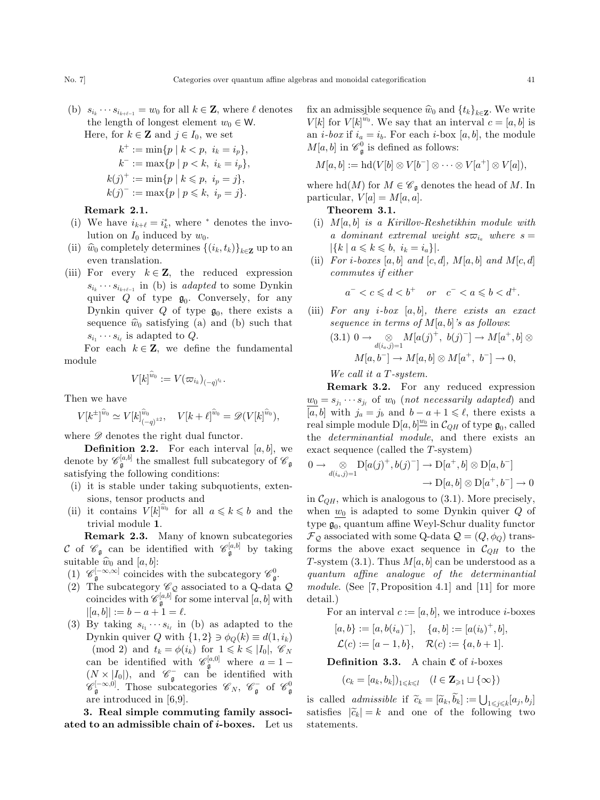(b)  $s_{i_k} \cdots s_{i_{k+\ell-1}} = w_0$  for all  $k \in \mathbb{Z}$ , where  $\ell$  denotes the length of longest element  $w_0 \in W$ .

Here, for  $k \in \mathbb{Z}$  and  $j \in I_0$ , we set

$$
k^{+} := \min\{p \mid k < p, \ i_{k} = i_{p}\},
$$
\n
$$
k^{-} := \max\{p \mid p < k, \ i_{k} = i_{p}\},
$$
\n
$$
k(j)^{+} := \min\{p \mid k < p, \ i_{p} = j\},
$$
\n
$$
k(j)^{-} := \max\{p \mid p \leq k, \ i_{p} = j\}.
$$

## Remark 2.1.

- (i) We have  $i_{k+\ell} = i_k^*$ , where  $*$  denotes the involution on  $I_0$  induced by  $w_0$ .
- (ii)  $\hat{w}_0$  completely determines  $\{(i_k,t_k)\}_{k\in\mathbb{Z}}$  up to an even translation.
- (iii) For every  $k \in \mathbb{Z}$ , the reduced expression  $s_{i_k} \cdots s_{i_{k+\ell-1}}$  in (b) is *adapted* to some Dynkin quiver  $Q$  of type  $\mathfrak{g}_0$ . Conversely, for any Dynkin quiver  $Q$  of type  $\mathfrak{g}_0$ , there exists a sequence  $\hat{w}_0$  satisfying (a) and (b) such that  $s_{i_1} \cdots s_{i_\ell}$  is adapted to Q.

For each  $k \in \mathbb{Z}$ , we define the fundamental module

$$
V[k]^{\widehat{w}_0}:=V(\varpi_{i_k})_{(-q)^{t_k}}.
$$

Then we have

$$
V[k^{\pm}]^{\hat{w}_0} \simeq V[k]^{\hat{w}_0}_{(-q)^{\pm 2}}, \quad V[k+\ell]^{\hat{w}_0} = \mathscr{D}(V[k]^{\hat{w}_0}),
$$

where  $\mathscr{D}$  denotes the right dual functor.

**Definition 2.2.** For each interval  $[a, b]$ , we denote by  $\mathscr{C}_{\mathfrak{g}}^{[a,b]}$  the smallest full subcategory of  $\mathscr{C}_{\mathfrak{g}}$ satisfying the following conditions:

- (i) it is stable under taking subquotients, extensions, tensor products and
- (ii) it contains  $V[k]^{w_0}$  for all  $a \leq k \leq b$  and the trivial module 1.

Remark 2.3. Many of known subcategories C of  $\mathscr{C}_{\mathfrak{g}}$  can be identified with  $\mathscr{C}_{\mathfrak{g}}^{[a,b]}$  by taking suitable  $\hat{w}_0$  and  $[a, b]$ :

- (1)  $\mathscr{C}_{\mathfrak{g}}^{[-\infty,\infty]}$  coincides with the subcategory  $\mathscr{C}_{\mathfrak{g}}^0$ .
- (2) The subcategory  $\mathscr{C}_{\mathcal{Q}}$  associated to a Q-data  $\mathcal Q$ coincides with  $\mathscr{C}_{\mathfrak{g}}^{[a,b]}$  for some interval  $[a,b]$  with  $|[a, b]| := b - a + 1 = \ell.$
- (3) By taking  $s_{i_1} \cdots s_{i_\ell}$  in (b) as adapted to the Dynkin quiver Q with  $\{1,2\} \ni \phi_Q(k) \equiv d(1,i_k)$ (mod 2) and  $t_k = \phi(i_k)$  for  $1 \leq k \leq |I_0|, \mathcal{C}_N$ can be identified with  $\mathscr{C}_{\mathfrak{g}}^{[a,0]}$  where  $a=1$  - $(N \times |I_0|)$ , and  $\mathscr{C}_{\mathfrak{g}}^-$  can be identified with  $\mathscr{C}_{\mathfrak{g}}^{[-\infty,0]}$ . Those subcategories  $\mathscr{C}_N$ ,  $\mathscr{C}_{\mathfrak{g}}^-$  of  $\mathscr{C}_{\mathfrak{g}}^0$ are introduced in [6,9].

3. Real simple commuting family associated to an admissible chain of  $i$ -boxes. Let us fix an admissible sequence  $\hat{w}_0$  and  $\{t_k\}_{k\in\mathbf{Z}}$ . We write  $V[k]$  for  $V[k]^{w_0}$ . We say that an interval  $c = [a, b]$  is an *i*-box if  $i_a = i_b$ . For each *i*-box [a, b], the module  $M[a, b]$  in  $\mathscr{C}_{\mathfrak{g}}^0$  is defined as follows:

$$
M[a,b] := \mathrm{hd}(V[b] \otimes V[b^-] \otimes \cdots \otimes V[a^+] \otimes V[a]),
$$

where  $hd(M)$  for  $M \in \mathscr{C}_{\mathfrak{g}}$  denotes the head of M. In particular,  $V[a] = M[a, a]$ .

Theorem 3.1.

- (i)  $M[a,b]$  is a Kirillov-Reshetikhin module with a dominant extremal weight  $s\overline{\omega}_{i_a}$  where  $s =$  $|\{k \mid a \leqslant k \leqslant b, i_k = i_a\}|.$
- (ii) For i-boxes [a, b] and  $[c, d]$ ,  $M[a, b]$  and  $M[c, d]$ commutes if either

 $a^- < c \leq d < b^+$  or  $c^- < a \leq b < d^+$ .

(iii) For any *i-box*  $[a, b]$ , there exists an exact sequence in terms of  $M[a, b]$ 's as follows:  $(3.1) \ 0 \to \bigotimes_{d(i_a,j)=1} M[a(j)^+, b(j)^-] \to M[a^+,b] \otimes$  $M[a, b^-] \to M[a, b] \otimes M[a^+, b^-] \to 0,$ 

We call it a T-system.

Remark 3.2. For any reduced expression  $w_0 = s_{j_1} \cdots s_{j_\ell}$  of  $w_0$  (not necessarily adapted) and [a, b] with  $j_a = j_b$  and  $b - a + 1 \leq \ell$ , there exists a real simple module  $D[a, b]^{\underline{w_0}}$  in  $\mathcal{C}_{QH}$  of type  $\mathfrak{g}_0$ , called the determinantial module, and there exists an exact sequence (called the T-system)

$$
0 \to \bigotimes_{d(i_a,j)=1} \mathcal{D}[a(j)^+, b(j)^-] \to \mathcal{D}[a^+,b] \otimes \mathcal{D}[a,b^-] \to \mathcal{D}[a,b] \otimes \mathcal{D}[a^+,b^-] \to 0
$$

in  $C_{QH}$ , which is analogous to (3.1). More precisely, when  $w_0$  is adapted to some Dynkin quiver  $Q$  of type  $\mathfrak{g}_0$ , quantum affine Weyl-Schur duality functor  $\mathcal{F}_{\mathcal{Q}}$  associated with some Q-data  $\mathcal{Q} = (Q, \phi_Q)$  transforms the above exact sequence in  $C_{QH}$  to the T-system (3.1). Thus  $M[a, b]$  can be understood as a quantum affine analogue of the determinantial module. (See [7, Proposition 4.1] and [11] for more detail.)

For an interval  $c := [a, b]$ , we introduce *i*-boxes

$$
[a, b] := [a, b(i_a)^-], \quad \{a, b\} := [a(i_b)^+, b],
$$
  

$$
\mathcal{L}(c) := [a - 1, b], \quad \mathcal{R}(c) := \{a, b + 1\}.
$$

**Definition 3.3.** A chain  $\mathfrak{C}$  of *i*-boxes

$$
(c_k = [a_k, b_k])_{1 \leq k \leq l} \quad (l \in \mathbf{Z}_{\geq 1} \sqcup \{\infty\})
$$

is called *admissible* if  $\widetilde{c}_k = [\widetilde{a}_k, \widetilde{b}_k] := \bigcup_{1 \leq j \leq k} [a_j, b_j]$ satisfies  $|\tilde{c}_k| = k$  and one of the following two statements.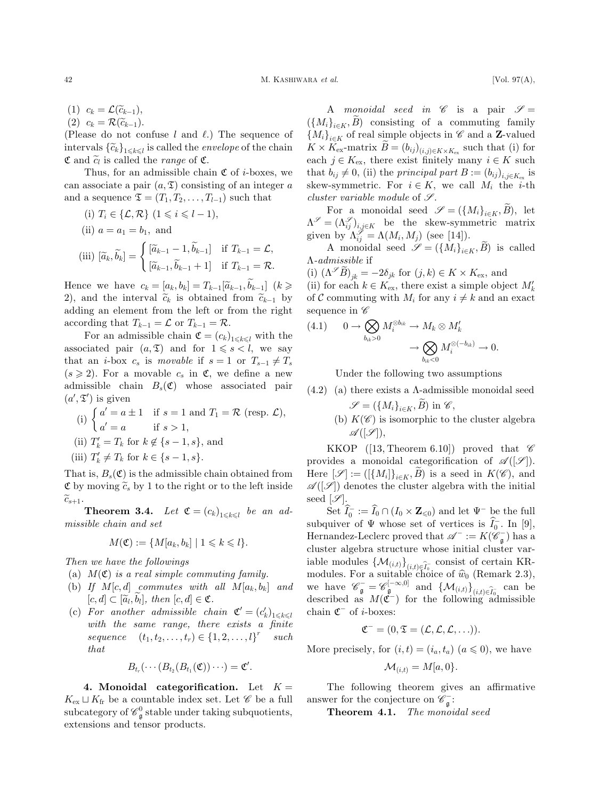$\mathcal{L},$ 

(1)  $c_k = \mathcal{L}(\widetilde{c}_{k-1}),$ (2)  $c_k = \mathcal{R}(\widetilde{c}_{k-1})$ .

(Please do not confuse  $l$  and  $\ell$ .) The sequence of intervals  $\{\widetilde{c}_k\}_{1\leq k\leq l}$  is called the *envelope* of the chain  $\mathfrak{C}$  and  $\widetilde{c}_l$  is called the *range* of  $\mathfrak{C}$ .

Thus, for an admissible chain  $\mathfrak C$  of *i*-boxes, we can associate a pair  $(a, \mathfrak{T})$  consisting of an integer a and a sequence  $\mathfrak{T} = (T_1, T_2, \ldots, T_{l-1})$  such that

(i) 
$$
T_i \in \{\mathcal{L}, \mathcal{R}\} \ (1 \leq i \leq l-1),
$$
  
\n(ii)  $a = a_1 = b_1$ , and  
\n(iii)  $[\widetilde{a}_k, \widetilde{b}_k] = \begin{cases} [\widetilde{a}_{k-1} - 1, \widetilde{b}_{k-1}] & \text{if } T_{k-1} = \mathcal{L}, \\ [\widetilde{a}_{k-1}, \widetilde{b}_{k-1} + 1] & \text{if } T_{k-1} = \mathcal{R}. \end{cases}$ 

Hence we have  $c_k = [a_k, b_k] = T_{k-1}[\widetilde{a}_{k-1}, \widetilde{b}_{k-1}]$   $(k \geq$ 2), and the interval  $\tilde{c}_k$  is obtained from  $\tilde{c}_{k-1}$  by adding an element from the left or from the right according that  $T_{k-1} = \mathcal{L}$  or  $T_{k-1} = \mathcal{R}$ .

For an admissible chain  $\mathfrak{C} = (c_k)_{1 \leq k \leq l}$  with the associated pair  $(a, \mathfrak{T})$  and for  $1 \leq s < l$ , we say that an *i*-box  $c_s$  is movable if  $s = 1$  or  $T_{s-1} \neq T_s$  $(s \geq 2)$ . For a movable  $c_s$  in  $\mathfrak{C}$ , we define a new admissible chain  $B_s(\mathfrak{C})$  whose associated pair  $(a', \mathfrak{T}')$  is given

(i) 
$$
\begin{cases} a' = a \pm 1 & \text{if } s = 1 \text{ and } T_1 = \mathcal{R} \text{ (resp. } \mathcal{L}), \\ a' = a & \text{if } s > 1, \\ \text{(ii) } T'_k = T_k \text{ for } k \notin \{s - 1, s\}, \text{ and} \\ \text{(iii) } T'_k \neq T_k \text{ for } k \in \{s - 1, s\}. \end{cases}
$$

That is,  $B_s(\mathfrak{C})$  is the admissible chain obtained from  $\mathfrak{C}$  by moving  $\widetilde{c}_s$  by 1 to the right or to the left inside  $\widetilde{c}_{s+1}.$ 

**Theorem 3.4.** Let  $\mathfrak{C} = (c_k)_{1 \leq k \leq l}$  be an admissible chain and set

$$
M(\mathfrak{C}) := \{ M[a_k, b_k] \mid 1 \leq k \leq l \}.
$$

Then we have the followings

- (a)  $M(\mathfrak{C})$  is a real simple commuting family.
- (b) If  $M[c, d]$  commutes with all  $M[a_k, b_k]$  and  $[c, d] \subset [\widetilde{a}_l, b_l], \text{ then } [c, d] \in \mathfrak{C}.$
- (c) For another admissible chain  $\mathfrak{C}' = (c'_k)_{1 \leq k \leq l}$ with the same range, there exists a finite sequence  $(t_1, t_2, \ldots, t_r) \in \{1, 2, \ldots, l\}^r$  such that

$$
B_{t_r}(\cdots (B_{t_2}(B_{t_1}(\mathfrak{C}))\cdots)=\mathfrak{C}'.
$$

4. Monoidal categorification. Let  $K =$  $K_{\text{ex}} \sqcup K_{\text{fr}}$  be a countable index set. Let  $\mathscr C$  be a full subcategory of  $\mathscr{C}_{\mathfrak{g}}^0$  stable under taking subquotients, extensions and tensor products.

A monoidal seed in  $\mathscr C$  is a pair  $\mathscr S =$  $(\lbrace M_i \rbrace_{i \in K}, B)$  consisting of a commuting family  ${M_i}_{i \in K}$  of real simple objects in  $\mathscr C$  and a **Z**-valued  $K \times K_{\text{ex}}$ -matrix  $\widetilde{B} = (b_{ij})_{(i,j) \in K \times K_{\text{ex}}}$  such that (i) for each  $j \in K_{\text{ex}}$ , there exist finitely many  $i \in K$  such that  $b_{ij} \neq 0$ , (ii) the principal part  $B := (b_{ij})_{i,j \in K_{\text{ev}}}$  is skew-symmetric. For  $i \in K$ , we call  $M_i$  the *i*-th cluster variable module of  $\mathscr{S}.$ 

For a monoidal seed  $\mathscr{S} = (\{M_i\}_{i\in K}, B)$ , let  $\Lambda^{\mathscr{S}} = (\Lambda^{\mathscr{S}}_{ij})_{i,j \in K}$  be the skew-symmetric matrix given by  $\Lambda_{ij}^{\mathscr{S}} = \Lambda(M_i, M_j)$  (see [14]).

A monoidal seed  $\mathscr{S} = (\{M_i\}_{i\in K}, B)$  is called --admissible if

(i)  $(\Lambda^{\mathscr{S}}B)_{jk} = -2\delta_{jk}$  for  $(j,k) \in K \times K_{\text{ex}}$ , and (ii) for each  $k \in K_{\text{ex}}$ , there exist a simple object  $M'_k$ of C commuting with  $M_i$  for any  $i \neq k$  and an exact sequence in  $\mathscr C$ 

(4.1) 
$$
0 \to \bigotimes_{b_{ik}>0} M_i^{\otimes b_{ik}} \to M_k \otimes M'_k
$$

$$
\to \bigotimes_{b_{ik}<0} M_i^{\otimes(-b_{ik})} \to 0.
$$

Under the following two assumptions

- $(4.2)$  (a) there exists a  $\Lambda$ -admissible monoidal seed  $\mathscr{S} = (\{M_i\}_{i \in K}, \widetilde{B})$  in  $\mathscr{C}$ ,
	- (b)  $K(\mathscr{C})$  is isomorphic to the cluster algebra  $\mathscr{A}([\mathscr{S}]),$

KKOP ([13, Theorem 6.10]) proved that  $\mathscr C$ provides a monoidal categorification of  $\mathscr{A}(|\mathscr{S}|)$ . Here  $[\mathscr{S}] := ([\{M_i\}]_{i \in K}, B)$  is a seed in  $K(\mathscr{C})$ , and  $\mathscr{A}([\mathscr{S}])$  denotes the cluster algebra with the initial seed  $[\mathscr{S}].$ 

Set  $\widehat{I}_0^- := \widehat{I}_0 \cap (I_0 \times \mathbf{Z}_{\leq 0})$  and let  $\Psi^-$  be the full subquiver of  $\Psi$  whose set of vertices is  $\hat{I}_0^-$ . In [9], Hernandez-Leclerc proved that  $\mathscr{A}^- := K(\mathscr{C}_{\mathfrak{g}}^-)$  has a cluster algebra structure whose initial cluster variable modules  $\{\mathcal{M}_{(i,t)}\}_{(i,t)\in\widetilde{I_0}}$  consist of certain KRmodules. For a suitable choice of  $\hat{w}_0$  (Remark 2.3), we have  $\mathscr{C}_{\mathfrak{g}}^- = \mathscr{C}_{\mathfrak{g}}^{[-\infty,0]}$  and  $\{\mathcal{M}_{(i,t)}\}_{(i,t)\in \widehat{I}_0^-}$  can be described as  $M(\tilde{\mathfrak{C}}^-)$  for the following admissible chain  $\mathfrak{C}^-$  of *i*-boxes:

$$
\mathfrak{C}^- = (0, \mathfrak{T} = (\mathcal{L}, \mathcal{L}, \mathcal{L}, \ldots)).
$$

More precisely, for  $(i, t) = (i_a, t_a)$   $(a \leq 0)$ , we have

$$
\mathcal{M}_{(i,t)} = M[a,0].
$$

The following theorem gives an affirmative answer for the conjecture on  $\mathscr{C}_{\mathfrak{g}}^-$  :

Theorem 4.1. The monoidal seed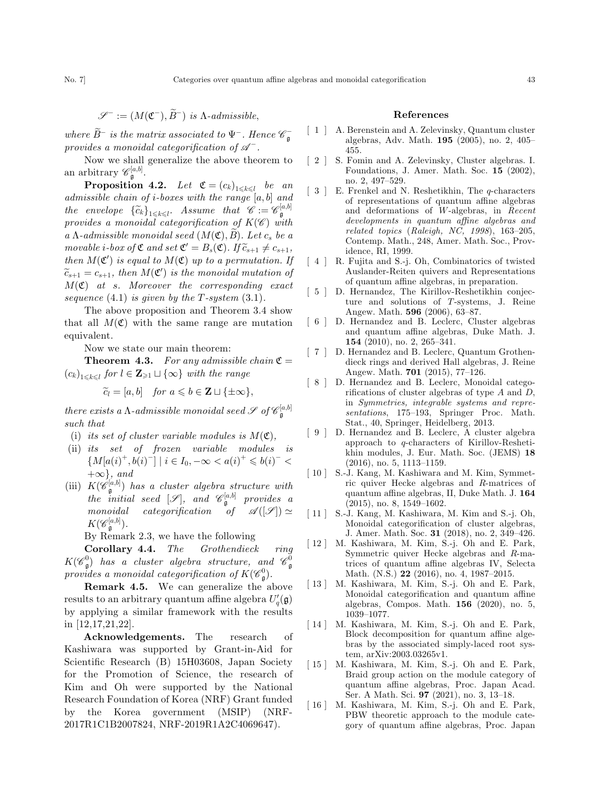where  $\widetilde{B}^-$  is the matrix associated to  $\Psi^-$ . Hence  $\mathscr{C}^-_{\mathfrak{g}}$ provides a monoidal categorification of  $\mathscr{A}^-$ .

Now we shall generalize the above theorem to an arbitrary  $\mathscr{C}_{\mathfrak{g}}^{[a,b]}.$ 

**Proposition 4.2.** Let  $\mathfrak{C} = (c_k)_{1 \leq k \leq l}$  be an admissible chain of *i*-boxes with the range  $[a, b]$  and the envelope  $\{\widetilde{c}_k\}_{1 \leq k \leq l}$ . Assume that  $\mathscr{C} := \mathscr{C}_{\mathfrak{g}}^{[a,b]}$ provides a monoidal categorification of  $K(\mathscr{C})$  with a  $\Lambda$ -admissible monoidal seed  $(M(\mathfrak{C}), B)$ . Let  $c_s$  be a movable i-box of  $\mathfrak{C}$  and set  $\mathfrak{C}'=B_s(\mathfrak{C})$ . If  $\widetilde{c}_{s+1}\neq c_{s+1}$ , then  $M(\mathfrak{C}')$  is equal to  $M(\mathfrak{C})$  up to a permutation. If  $\widetilde{c}_{s+1} = c_{s+1}$ , then  $M(\mathfrak{C}')$  is the monoidal mutation of  $M(\mathfrak{C})$  at s. Moreover the corresponding exact sequence  $(4.1)$  is given by the T-system  $(3.1)$ .

The above proposition and Theorem 3.4 show that all  $M(\mathfrak{C})$  with the same range are mutation equivalent.

Now we state our main theorem:

**Theorem 4.3.** For any admissible chain  $\mathfrak{C} =$  $(c_k)_{1\leq k\leq l}$  for  $l \in \mathbf{Z}_{\geq 1} \sqcup \{\infty\}$  with the range

$$
\widetilde{c}_l = [a, b] \quad \text{for } a \leqslant b \in \mathbf{Z} \sqcup \{\pm \infty\},
$$

there exists a  $\Lambda$ -admissible monoidal seed  $\mathscr{S}$  of  $\mathscr{C}_{\mathfrak{g}}^{[a,b]}$ such that

- (i) its set of cluster variable modules is  $M(\mathfrak{C})$ ,
- (ii) its set of frozen variable modules is  $\{M[a(i)^{+}, b(i)^{-}] \mid i \in I_0, -\infty < a(i)^{+} \leqslant b(i)^{-} <$  $+\infty$ , and
- (iii)  $K(\mathscr{C}_{\mathfrak{g}}^{[a,b]})$  has a cluster algebra structure with the initial seed  $[\mathscr{S}],$  and  $\mathscr{C}_{\mathfrak{g}}^{[a,b]}$  provides a monoidal categorification of  $\mathscr{A}([\mathscr{S}]) \simeq$  $K(\mathscr{C}_{\mathfrak{g}}^{[a,b]}).$

By Remark 2.3, we have the following

Corollary 4.4. The Grothendieck ring  $K(\mathscr{C}^0_{\mathfrak{g}})$  has a cluster algebra structure, and  $\mathscr{C}^0_{\mathfrak{g}}$ provides a monoidal categorification of  $K(\mathscr{C}^0_\mathfrak{g}).$ 

Remark 4.5. We can generalize the above results to an arbitrary quantum affine algebra  $U_q'(\mathfrak{g})$ by applying a similar framework with the results in [12,17,21,22].

Acknowledgements. The research of Kashiwara was supported by Grant-in-Aid for Scientific Research (B) 15H03608, Japan Society for the Promotion of Science, the research of Kim and Oh were supported by the National Research Foundation of Korea (NRF) Grant funded by the Korea government (MSIP) (NRF-2017R1C1B2007824, NRF-2019R1A2C4069647).

## References

- [ 1 ] A. Berenstein and A. Zelevinsky, Quantum cluster algebras, Adv. Math. 195 (2005), no. 2, 405– 455.
- [ 2 ] S. Fomin and A. Zelevinsky, Cluster algebras. I. Foundations, J. Amer. Math. Soc. 15 (2002), no. 2, 497–529.
- [ 3 ] E. Frenkel and N. Reshetikhin, The q-characters of representations of quantum affine algebras and deformations of W-algebras, in Recent developments in quantum affine algebras and related topics  $(Raleigh, NC, 1998), 163-205,$ Contemp. Math., 248, Amer. Math. Soc., Providence, RI, 1999.
- [4] R. Fujita and S.-j. Oh, Combinatorics of twisted Auslander-Reiten quivers and Representations of quantum affine algebras, in preparation.
- [ 5 ] D. Hernandez, The Kirillov-Reshetikhin conjecture and solutions of T-systems, J. Reine Angew. Math. 596 (2006), 63–87.
- [ 6 ] D. Hernandez and B. Leclerc, Cluster algebras and quantum affine algebras, Duke Math. J. 154 (2010), no. 2, 265–341.
- [ 7 ] D. Hernandez and B. Leclerc, Quantum Grothendieck rings and derived Hall algebras, J. Reine Angew. Math. 701 (2015), 77–126.
- [ 8 ] D. Hernandez and B. Leclerc, Monoidal categorifications of cluster algebras of type  $A$  and  $D$ , in Symmetries, integrable systems and representations, 175–193, Springer Proc. Math. Stat., 40, Springer, Heidelberg, 2013.
- [ 9 ] D. Hernandez and B. Leclerc, A cluster algebra approach to q-characters of Kirillov-Reshetikhin modules, J. Eur. Math. Soc. (JEMS) 18 (2016), no. 5, 1113–1159.
- [  $10$  ] S.-J. Kang, M. Kashiwara and M. Kim, Symmetric quiver Hecke algebras and R-matrices of quantum affine algebras, II, Duke Math. J. 164 (2015), no. 8, 1549–1602.
- [ 11 ] S.-J. Kang, M. Kashiwara, M. Kim and S.-j. Oh, Monoidal categorification of cluster algebras, J. Amer. Math. Soc. 31 (2018), no. 2, 349–426.
- [ 12 ] M. Kashiwara, M. Kim, S.-j. Oh and E. Park, Symmetric quiver Hecke algebras and R-matrices of quantum affine algebras IV, Selecta Math. (N.S.) 22 (2016), no. 4, 1987–2015.
- [ 13 ] M. Kashiwara, M. Kim, S.-j. Oh and E. Park, Monoidal categorification and quantum affine algebras, Compos. Math. 156 (2020), no. 5, 1039–1077.
- [ 14 ] M. Kashiwara, M. Kim, S.-j. Oh and E. Park, Block decomposition for quantum affine algebras by the associated simply-laced root system, arXiv:2003.03265v1.
- [ 15 ] M. Kashiwara, M. Kim, S.-j. Oh and E. Park, Braid group action on the module category of quantum affine algebras, Proc. Japan Acad. Ser. A Math. Sci. 97 (2021), no. 3, 13–18.
- [ 16 ] M. Kashiwara, M. Kim, S.-j. Oh and E. Park, PBW theoretic approach to the module category of quantum affine algebras, Proc. Japan